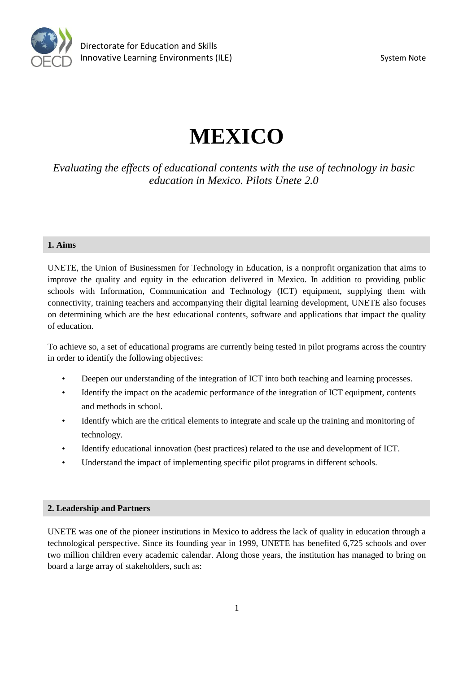

# **MEXICO**

*Evaluating the effects of educational contents with the use of technology in basic education in Mexico. Pilots Unete 2.0* 

# **1. Aims**

UNETE, the Union of Businessmen for Technology in Education, is a nonprofit organization that aims to improve the quality and equity in the education delivered in Mexico. In addition to providing public schools with Information, Communication and Technology (ICT) equipment, supplying them with connectivity, training teachers and accompanying their digital learning development, UNETE also focuses on determining which are the best educational contents, software and applications that impact the quality of education.

To achieve so, a set of educational programs are currently being tested in pilot programs across the country in order to identify the following objectives:

- Deepen our understanding of the integration of ICT into both teaching and learning processes.
- Identify the impact on the academic performance of the integration of ICT equipment, contents and methods in school.
- Identify which are the critical elements to integrate and scale up the training and monitoring of technology.
- Identify educational innovation (best practices) related to the use and development of ICT.
- Understand the impact of implementing specific pilot programs in different schools.

# **2. Leadership and Partners**

UNETE was one of the pioneer institutions in Mexico to address the lack of quality in education through a technological perspective. Since its founding year in 1999, UNETE has benefited 6,725 schools and over two million children every academic calendar. Along those years, the institution has managed to bring on board a large array of stakeholders, such as: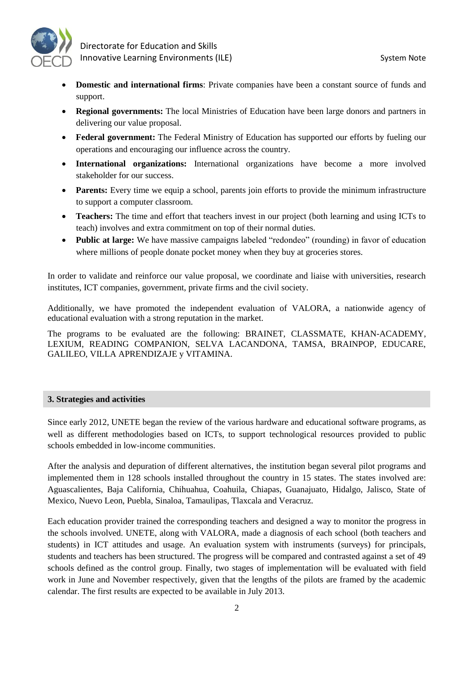

 Directorate for Education and Skills Innovative Learning Environments (ILE) System Note

- **Domestic and international firms**: Private companies have been a constant source of funds and support.
- **Regional governments:** The local Ministries of Education have been large donors and partners in delivering our value proposal.
- **Federal government:** The Federal Ministry of Education has supported our efforts by fueling our operations and encouraging our influence across the country.
- **International organizations:** International organizations have become a more involved stakeholder for our success.
- **Parents:** Every time we equip a school, parents join efforts to provide the minimum infrastructure to support a computer classroom.
- **Teachers:** The time and effort that teachers invest in our project (both learning and using ICTs to teach) involves and extra commitment on top of their normal duties.
- **Public at large:** We have massive campaigns labeled "redondeo" (rounding) in favor of education where millions of people donate pocket money when they buy at groceries stores.

In order to validate and reinforce our value proposal, we coordinate and liaise with universities, research institutes, ICT companies, government, private firms and the civil society.

Additionally, we have promoted the independent evaluation of VALORA, a nationwide agency of educational evaluation with a strong reputation in the market.

The programs to be evaluated are the following: BRAINET, CLASSMATE, KHAN-ACADEMY, LEXIUM, READING COMPANION, SELVA LACANDONA, TAMSA, BRAINPOP, EDUCARE, GALILEO, VILLA APRENDIZAJE y VITAMINA.

#### **3. Strategies and activities**

Since early 2012, UNETE began the review of the various hardware and educational software programs, as well as different methodologies based on ICTs, to support technological resources provided to public schools embedded in low-income communities.

After the analysis and depuration of different alternatives, the institution began several pilot programs and implemented them in 128 schools installed throughout the country in 15 states. The states involved are: Aguascalientes, Baja California, Chihuahua, Coahuila, Chiapas, Guanajuato, Hidalgo, Jalisco, State of Mexico, Nuevo Leon, Puebla, Sinaloa, Tamaulipas, Tlaxcala and Veracruz.

Each education provider trained the corresponding teachers and designed a way to monitor the progress in the schools involved. UNETE, along with VALORA, made a diagnosis of each school (both teachers and students) in ICT attitudes and usage. An evaluation system with instruments (surveys) for principals, students and teachers has been structured. The progress will be compared and contrasted against a set of 49 schools defined as the control group. Finally, two stages of implementation will be evaluated with field work in June and November respectively, given that the lengths of the pilots are framed by the academic calendar. The first results are expected to be available in July 2013.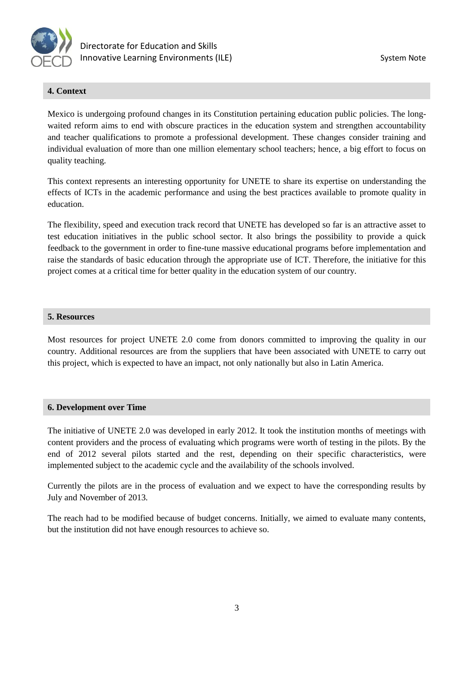

# **4. Context**

Mexico is undergoing profound changes in its Constitution pertaining education public policies. The longwaited reform aims to end with obscure practices in the education system and strengthen accountability and teacher qualifications to promote a professional development. These changes consider training and individual evaluation of more than one million elementary school teachers; hence, a big effort to focus on quality teaching.

This context represents an interesting opportunity for UNETE to share its expertise on understanding the effects of ICTs in the academic performance and using the best practices available to promote quality in education.

The flexibility, speed and execution track record that UNETE has developed so far is an attractive asset to test education initiatives in the public school sector. It also brings the possibility to provide a quick feedback to the government in order to fine-tune massive educational programs before implementation and raise the standards of basic education through the appropriate use of ICT. Therefore, the initiative for this project comes at a critical time for better quality in the education system of our country.

# **5. Resources**

Most resources for project UNETE 2.0 come from donors committed to improving the quality in our country. Additional resources are from the suppliers that have been associated with UNETE to carry out this project, which is expected to have an impact, not only nationally but also in Latin America.

#### **6. Development over Time**

The initiative of UNETE 2.0 was developed in early 2012. It took the institution months of meetings with content providers and the process of evaluating which programs were worth of testing in the pilots. By the end of 2012 several pilots started and the rest, depending on their specific characteristics, were implemented subject to the academic cycle and the availability of the schools involved.

Currently the pilots are in the process of evaluation and we expect to have the corresponding results by July and November of 2013.

The reach had to be modified because of budget concerns. Initially, we aimed to evaluate many contents, but the institution did not have enough resources to achieve so.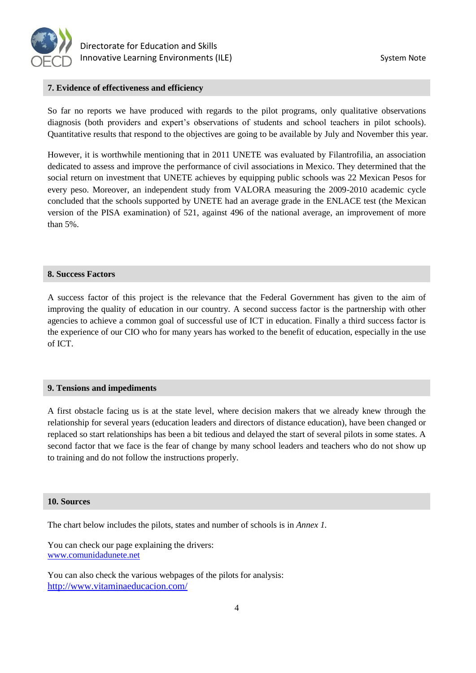

#### **7. Evidence of effectiveness and efficiency**

So far no reports we have produced with regards to the pilot programs, only qualitative observations diagnosis (both providers and expert's observations of students and school teachers in pilot schools). Quantitative results that respond to the objectives are going to be available by July and November this year.

However, it is worthwhile mentioning that in 2011 UNETE was evaluated by Filantrofilia, an association dedicated to assess and improve the performance of civil associations in Mexico. They determined that the social return on investment that UNETE achieves by equipping public schools was 22 Mexican Pesos for every peso. Moreover, an independent study from VALORA measuring the 2009-2010 academic cycle concluded that the schools supported by UNETE had an average grade in the ENLACE test (the Mexican version of the PISA examination) of 521, against 496 of the national average, an improvement of more than 5%.

#### **8. Success Factors**

A success factor of this project is the relevance that the Federal Government has given to the aim of improving the quality of education in our country. A second success factor is the partnership with other agencies to achieve a common goal of successful use of ICT in education. Finally a third success factor is the experience of our CIO who for many years has worked to the benefit of education, especially in the use of ICT.

#### **9. Tensions and impediments**

A first obstacle facing us is at the state level, where decision makers that we already knew through the relationship for several years (education leaders and directors of distance education), have been changed or replaced so start relationships has been a bit tedious and delayed the start of several pilots in some states. A second factor that we face is the fear of change by many school leaders and teachers who do not show up to training and do not follow the instructions properly.

#### **10. Sources**

The chart below includes the pilots, states and number of schools is in *Annex 1.*

You can check our page explaining the drivers: [www.comunidadunete.net](http://www.comunidadunete.net/)

You can also check the various webpages of the pilots for analysis: <http://www.vitaminaeducacion.com/>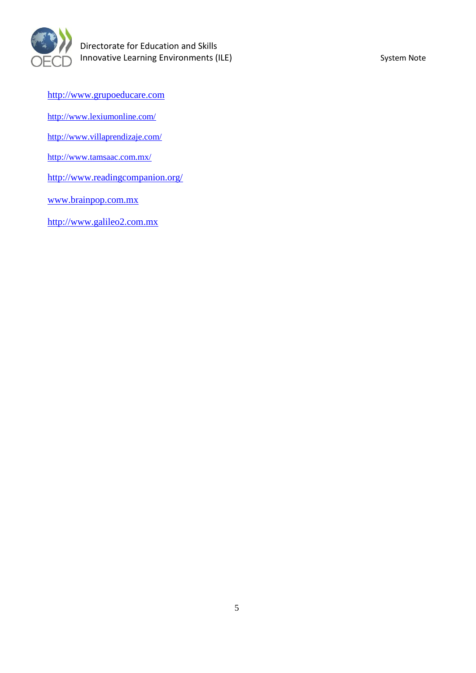

[http://www.grupoeducare.com](http://www.grupoeducare.com/)

<http://www.lexiumonline.com/>

<http://www.villaprendizaje.com/>

<http://www.tamsaac.com.mx/>

<http://www.readingcompanion.org/>

[www.brainpop.com.mx](http://www.brainpop.com.mx/)

[http://www.galileo2.com.mx](http://www.galileo2.com.mx/)